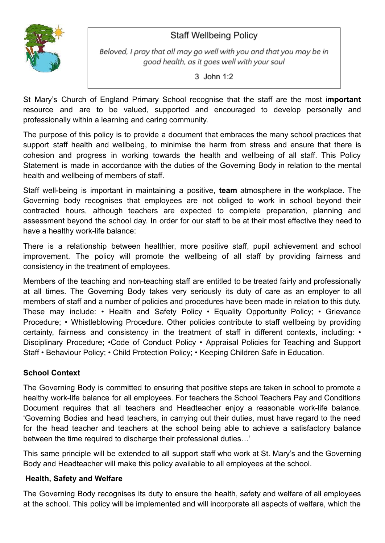# **Staff Wellbeing Policy**



Beloved, I pray that all may go well with you and that you may be in good health, as it goes well with your soul

 $3$  John 1:2

St Mary's Church of England Primary School recognise that the staff are the most i**mportant** resource and are to be valued, supported and encouraged to develop personally and professionally within a learning and caring community.

The purpose of this policy is to provide a document that embraces the many school practices that support staff health and wellbeing, to minimise the harm from stress and ensure that there is cohesion and progress in working towards the health and wellbeing of all staff. This Policy Statement is made in accordance with the duties of the Governing Body in relation to the mental health and wellbeing of members of staff.

Staff well-being is important in maintaining a positive, **team** atmosphere in the workplace. The Governing body recognises that employees are not obliged to work in school beyond their contracted hours, although teachers are expected to complete preparation, planning and assessment beyond the school day. In order for our staff to be at their most effective they need to have a healthy work-life balance:

There is a relationship between healthier, more positive staff, pupil achievement and school improvement. The policy will promote the wellbeing of all staff by providing fairness and consistency in the treatment of employees.

Members of the teaching and non-teaching staff are entitled to be treated fairly and professionally at all times. The Governing Body takes very seriously its duty of care as an employer to all members of staff and a number of policies and procedures have been made in relation to this duty. These may include: • Health and Safety Policy • Equality Opportunity Policy; • Grievance Procedure; • Whistleblowing Procedure. Other policies contribute to staff wellbeing by providing certainty, fairness and consistency in the treatment of staff in different contexts, including: • Disciplinary Procedure; •Code of Conduct Policy • Appraisal Policies for Teaching and Support Staff • Behaviour Policy; • Child Protection Policy; • Keeping Children Safe in Education.

# **School Context**

The Governing Body is committed to ensuring that positive steps are taken in school to promote a healthy work-life balance for all employees. For teachers the School Teachers Pay and Conditions Document requires that all teachers and Headteacher enjoy a reasonable work-life balance. 'Governing Bodies and head teachers, in carrying out their duties, must have regard to the need for the head teacher and teachers at the school being able to achieve a satisfactory balance between the time required to discharge their professional duties…'

This same principle will be extended to all support staff who work at St. Mary's and the Governing Body and Headteacher will make this policy available to all employees at the school.

## **Health, Safety and Welfare**

The Governing Body recognises its duty to ensure the health, safety and welfare of all employees at the school. This policy will be implemented and will incorporate all aspects of welfare, which the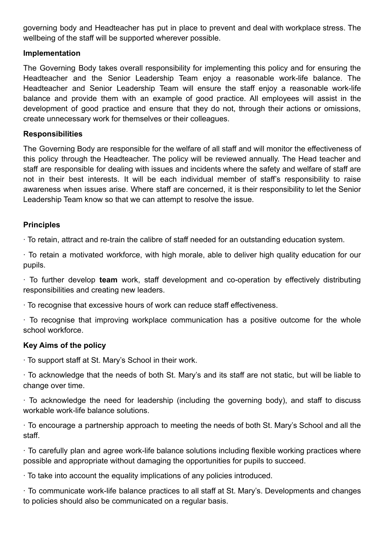governing body and Headteacher has put in place to prevent and deal with workplace stress. The wellbeing of the staff will be supported wherever possible.

#### **Implementation**

The Governing Body takes overall responsibility for implementing this policy and for ensuring the Headteacher and the Senior Leadership Team enjoy a reasonable work-life balance. The Headteacher and Senior Leadership Team will ensure the staff enjoy a reasonable work-life balance and provide them with an example of good practice. All employees will assist in the development of good practice and ensure that they do not, through their actions or omissions, create unnecessary work for themselves or their colleagues.

#### **Responsibilities**

The Governing Body are responsible for the welfare of all staff and will monitor the effectiveness of this policy through the Headteacher. The policy will be reviewed annually. The Head teacher and staff are responsible for dealing with issues and incidents where the safety and welfare of staff are not in their best interests. It will be each individual member of staff's responsibility to raise awareness when issues arise. Where staff are concerned, it is their responsibility to let the Senior Leadership Team know so that we can attempt to resolve the issue.

#### **Principles**

∙ To retain, attract and re-train the calibre of staff needed for an outstanding education system.

∙ To retain a motivated workforce, with high morale, able to deliver high quality education for our pupils.

∙ To further develop **team** work, staff development and co-operation by effectively distributing responsibilities and creating new leaders.

∙ To recognise that excessive hours of work can reduce staff effectiveness.

∙ To recognise that improving workplace communication has a positive outcome for the whole school workforce.

## **Key Aims of the policy**

∙ To support staff at St. Mary's School in their work.

∙ To acknowledge that the needs of both St. Mary's and its staff are not static, but will be liable to change over time.

∙ To acknowledge the need for leadership (including the governing body), and staff to discuss workable work-life balance solutions.

∙ To encourage a partnership approach to meeting the needs of both St. Mary's School and all the staff.

∙ To carefully plan and agree work-life balance solutions including flexible working practices where possible and appropriate without damaging the opportunities for pupils to succeed.

∙ To take into account the equality implications of any policies introduced.

∙ To communicate work-life balance practices to all staff at St. Mary's. Developments and changes to policies should also be communicated on a regular basis.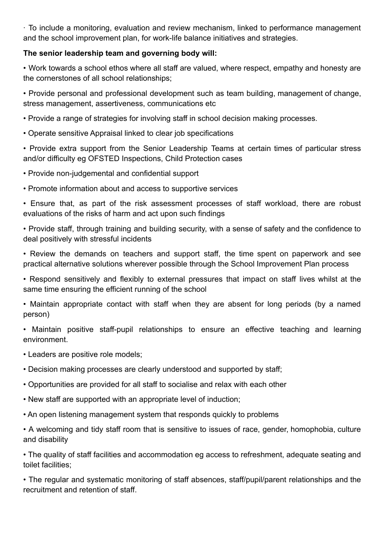∙ To include a monitoring, evaluation and review mechanism, linked to performance management and the school improvement plan, for work-life balance initiatives and strategies.

# **The senior leadership team and governing body will:**

• Work towards a school ethos where all staff are valued, where respect, empathy and honesty are the cornerstones of all school relationships;

• Provide personal and professional development such as team building, management of change, stress management, assertiveness, communications etc

• Provide a range of strategies for involving staff in school decision making processes.

• Operate sensitive Appraisal linked to clear job specifications

• Provide extra support from the Senior Leadership Teams at certain times of particular stress and/or difficulty eg OFSTED Inspections, Child Protection cases

- Provide non-judgemental and confidential support
- Promote information about and access to supportive services

• Ensure that, as part of the risk assessment processes of staff workload, there are robust evaluations of the risks of harm and act upon such findings

• Provide staff, through training and building security, with a sense of safety and the confidence to deal positively with stressful incidents

• Review the demands on teachers and support staff, the time spent on paperwork and see practical alternative solutions wherever possible through the School Improvement Plan process

• Respond sensitively and flexibly to external pressures that impact on staff lives whilst at the same time ensuring the efficient running of the school

• Maintain appropriate contact with staff when they are absent for long periods (by a named person)

• Maintain positive staff-pupil relationships to ensure an effective teaching and learning environment.

- Leaders are positive role models;
- Decision making processes are clearly understood and supported by staff;
- Opportunities are provided for all staff to socialise and relax with each other
- New staff are supported with an appropriate level of induction;
- An open listening management system that responds quickly to problems

• A welcoming and tidy staff room that is sensitive to issues of race, gender, homophobia, culture and disability

• The quality of staff facilities and accommodation eg access to refreshment, adequate seating and toilet facilities;

• The regular and systematic monitoring of staff absences, staff/pupil/parent relationships and the recruitment and retention of staff.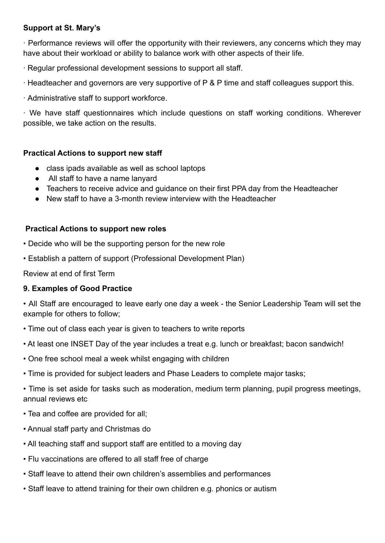## **Support at St. Mary's**

∙ Performance reviews will offer the opportunity with their reviewers, any concerns which they may have about their workload or ability to balance work with other aspects of their life.

- ∙ Regular professional development sessions to support all staff.
- ∙ Headteacher and governors are very supportive of P & P time and staff colleagues support this.
- ∙ Administrative staff to support workforce.

∙ We have staff questionnaires which include questions on staff working conditions. Wherever possible, we take action on the results.

# **Practical Actions to support new staff**

- class ipads available as well as school laptops
- All staff to have a name lanyard
- Teachers to receive advice and quidance on their first PPA day from the Headteacher
- New staff to have a 3-month review interview with the Headteacher

# **Practical Actions to support new roles**

- Decide who will be the supporting person for the new role
- Establish a pattern of support (Professional Development Plan)

Review at end of first Term

## **9. Examples of Good Practice**

• All Staff are encouraged to leave early one day a week - the Senior Leadership Team will set the example for others to follow;

- Time out of class each year is given to teachers to write reports
- At least one INSET Day of the year includes a treat e.g. lunch or breakfast; bacon sandwich!
- One free school meal a week whilst engaging with children
- Time is provided for subject leaders and Phase Leaders to complete major tasks;

• Time is set aside for tasks such as moderation, medium term planning, pupil progress meetings, annual reviews etc

- Tea and coffee are provided for all;
- Annual staff party and Christmas do
- All teaching staff and support staff are entitled to a moving day
- Flu vaccinations are offered to all staff free of charge
- Staff leave to attend their own children's assemblies and performances
- Staff leave to attend training for their own children e.g. phonics or autism